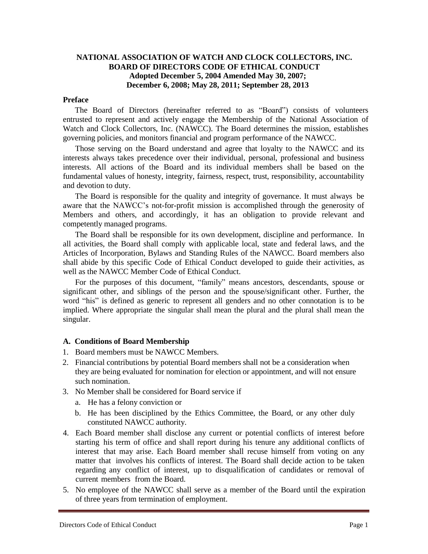### **NATIONAL ASSOCIATION OF WATCH AND CLOCK COLLECTORS, INC. BOARD OF DIRECTORS CODE OF ETHICAL CONDUCT Adopted December 5, 2004 Amended May 30, 2007; December 6, 2008; May 28, 2011; September 28, 2013**

#### **Preface**

The Board of Directors (hereinafter referred to as "Board") consists of volunteers entrusted to represent and actively engage the Membership of the National Association of Watch and Clock Collectors, Inc. (NAWCC). The Board determines the mission, establishes governing policies, and monitors financial and program performance of the NAWCC.

Those serving on the Board understand and agree that loyalty to the NAWCC and its interests always takes precedence over their individual, personal, professional and business interests. All actions of the Board and its individual members shall be based on the fundamental values of honesty, integrity, fairness, respect, trust, responsibility, accountability and devotion to duty.

The Board is responsible for the quality and integrity of governance. It must always be aware that the NAWCC's not-for-profit mission is accomplished through the generosity of Members and others, and accordingly, it has an obligation to provide relevant and competently managed programs.

The Board shall be responsible for its own development, discipline and performance. In all activities, the Board shall comply with applicable local, state and federal laws, and the Articles of Incorporation, Bylaws and Standing Rules of the NAWCC. Board members also shall abide by this specific Code of Ethical Conduct developed to guide their activities, as well as the NAWCC Member Code of Ethical Conduct.

For the purposes of this document, "family" means ancestors, descendants, spouse or significant other, and siblings of the person and the spouse/significant other. Further, the word "his" is defined as generic to represent all genders and no other connotation is to be implied. Where appropriate the singular shall mean the plural and the plural shall mean the singular.

#### **A. Conditions of Board Membership**

- 1. Board members must be NAWCC Members.
- 2. Financial contributions by potential Board members shall not be a consideration when they are being evaluated for nomination for election or appointment, and will not ensure such nomination.
- 3. No Member shall be considered for Board service if
	- a. He has a felony conviction or
	- b. He has been disciplined by the Ethics Committee, the Board, or any other duly constituted NAWCC authority.
- 4. Each Board member shall disclose any current or potential conflicts of interest before starting his term of office and shall report during his tenure any additional conflicts of interest that may arise. Each Board member shall recuse himself from voting on any matter that involves his conflicts of interest. The Board shall decide action to be taken regarding any conflict of interest, up to disqualification of candidates or removal of current members from the Board.
- 5. No employee of the NAWCC shall serve as a member of the Board until the expiration of three years from termination of employment.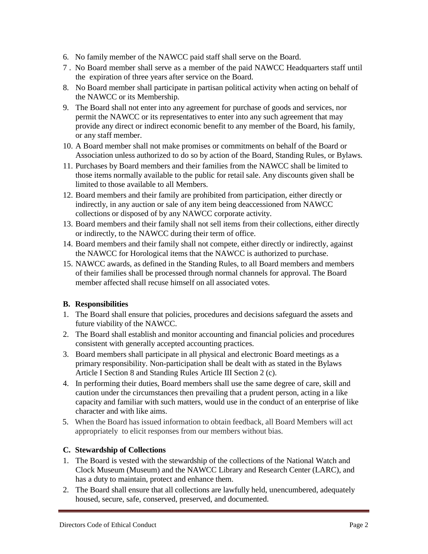- 6. No family member of the NAWCC paid staff shall serve on the Board.
- 7 . No Board member shall serve as a member of the paid NAWCC Headquarters staff until the expiration of three years after service on the Board.
- 8. No Board member shall participate in partisan political activity when acting on behalf of the NAWCC or its Membership.
- 9. The Board shall not enter into any agreement for purchase of goods and services, nor permit the NAWCC or its representatives to enter into any such agreement that may provide any direct or indirect economic benefit to any member of the Board, his family, or any staff member.
- 10. A Board member shall not make promises or commitments on behalf of the Board or Association unless authorized to do so by action of the Board, Standing Rules, or Bylaws.
- 11. Purchases by Board members and their families from the NAWCC shall be limited to those items normally available to the public for retail sale. Any discounts given shall be limited to those available to all Members.
- 12. Board members and their family are prohibited from participation, either directly or indirectly, in any auction or sale of any item being deaccessioned from NAWCC collections or disposed of by any NAWCC corporate activity.
- 13. Board members and their family shall not sell items from their collections, either directly or indirectly, to the NAWCC during their term of office.
- 14. Board members and their family shall not compete, either directly or indirectly, against the NAWCC for Horological items that the NAWCC is authorized to purchase.
- 15. NAWCC awards, as defined in the Standing Rules, to all Board members and members of their families shall be processed through normal channels for approval. The Board member affected shall recuse himself on all associated votes.

# **B. Responsibilities**

- 1. The Board shall ensure that policies, procedures and decisions safeguard the assets and future viability of the NAWCC.
- 2. The Board shall establish and monitor accounting and financial policies and procedures consistent with generally accepted accounting practices.
- 3. Board members shall participate in all physical and electronic Board meetings as a primary responsibility. Non-participation shall be dealt with as stated in the Bylaws Article I Section 8 and Standing Rules Article III Section 2 (c).
- 4. In performing their duties, Board members shall use the same degree of care, skill and caution under the circumstances then prevailing that a prudent person, acting in a like capacity and familiar with such matters, would use in the conduct of an enterprise of like character and with like aims.
- 5. When the Board has issued information to obtain feedback, all Board Members will act appropriately to elicit responses from our members without bias.

# **C. Stewardship of Collections**

- 1. The Board is vested with the stewardship of the collections of the National Watch and Clock Museum (Museum) and the NAWCC Library and Research Center (LARC), and has a duty to maintain, protect and enhance them.
- 2. The Board shall ensure that all collections are lawfully held, unencumbered, adequately housed, secure, safe, conserved, preserved, and documented.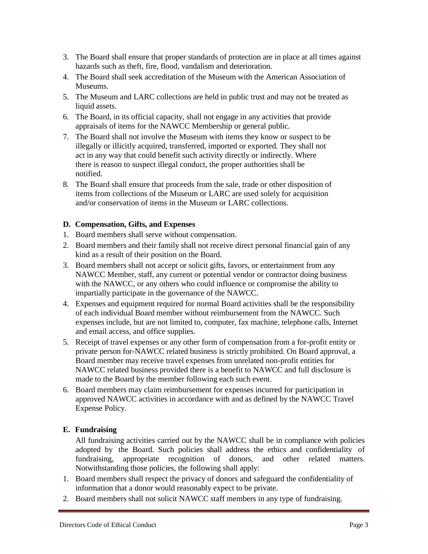- 3. The Board shall ensure that proper standards of protection are in place at all times against hazards such as theft, fire, flood, vandalism and deterioration.
- 4. The Board shall seek accreditation of the Museum with the American Association of Museums.
- 5. The Museum and LARC collections are held in public trust and may not be treated as liquid assets.
- 6. The Board, in its official capacity, shall not engage in any activities that provide appraisals of items for the NAWCC Membership or general public.
- 7. The Board shall not involve the Museum with items they know or suspect to be illegally or illicitly acquired, transferred, imported or exported. They shall not act in any way that could benefit such activity directly or indirectly. Where there is reason to suspect illegal conduct, the proper authorities shall be notified.
- 8. The Board shall ensure that proceeds from the sale, trade or other disposition of items from collections of the Museum or LARC are used solely for acquisition and/or conservation of items in the Museum or LARC collections.

### **D. Compensation, Gifts, and Expenses**

- 1. Board members shall serve without compensation.
- 2. Board members and their family shall not receive direct personal financial gain of any kind as a result of their position on the Board.
- 3. Board members shall not accept or solicit gifts, favors, or entertainment from any NAWCC Member, staff, any current or potential vendor or contractor doing business with the NAWCC, or any others who could influence or compromise the ability to impartially participate in the governance of the NAWCC.
- 4. Expenses and equipment required for normal Board activities shall be the responsibility of each individual Board member without reimbursement from the NAWCC. Such expenses include, but are not limited to, computer, fax machine, telephone calls, Internet and email access, and office supplies.
- 5. Receipt of travel expenses or any other form of compensation from a for-profit entity or private person for-NAWCC related business is strictly prohibited. On Board approval, a Board member may receive travel expenses from unrelated non-profit entities for NAWCC related business provided there is a benefit to NAWCC and full disclosure is made to the Board by the member following each such event.
- 6. Board members may claim reimbursement for expenses incurred for participation in approved NAWCC activities in accordance with and as defined by the NAWCC Travel Expense Policy.

### **E. Fundraising**

All fundraising activities carried out by the NAWCC shall be in compliance with policies adopted by the Board. Such policies shall address the ethics and confidentiality of fundraising, appropriate recognition of donors, and other related matters. Notwithstanding those policies, the following shall apply:

- 1. Board members shall respect the privacy of donors and safeguard the confidentiality of information that a donor would reasonably expect to be private.
- 2. Board members shall not solicit NAWCC staff members in any type of fundraising.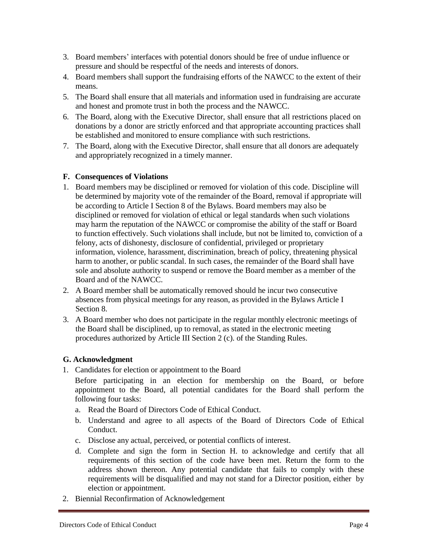- 3. Board members' interfaces with potential donors should be free of undue influence or pressure and should be respectful of the needs and interests of donors.
- 4. Board members shall support the fundraising efforts of the NAWCC to the extent of their means.
- 5. The Board shall ensure that all materials and information used in fundraising are accurate and honest and promote trust in both the process and the NAWCC.
- 6. The Board, along with the Executive Director, shall ensure that all restrictions placed on donations by a donor are strictly enforced and that appropriate accounting practices shall be established and monitored to ensure compliance with such restrictions.
- 7. The Board, along with the Executive Director, shall ensure that all donors are adequately and appropriately recognized in a timely manner.

### **F. Consequences of Violations**

- 1. Board members may be disciplined or removed for violation of this code. Discipline will be determined by majority vote of the remainder of the Board, removal if appropriate will be according to Article I Section 8 of the Bylaws. Board members may also be disciplined or removed for violation of ethical or legal standards when such violations may harm the reputation of the NAWCC or compromise the ability of the staff or Board to function effectively. Such violations shall include, but not be limited to, conviction of a felony, acts of dishonesty, disclosure of confidential, privileged or proprietary information, violence, harassment, discrimination, breach of policy, threatening physical harm to another, or public scandal. In such cases, the remainder of the Board shall have sole and absolute authority to suspend or remove the Board member as a member of the Board and of the NAWCC.
- 2. A Board member shall be automatically removed should he incur two consecutive absences from physical meetings for any reason, as provided in the Bylaws Article I Section 8.
- 3. A Board member who does not participate in the regular monthly electronic meetings of the Board shall be disciplined, up to removal, as stated in the electronic meeting procedures authorized by Article III Section 2 (c). of the Standing Rules.

### **G. Acknowledgment**

1. Candidates for election or appointment to the Board

Before participating in an election for membership on the Board, or before appointment to the Board, all potential candidates for the Board shall perform the following four tasks:

- a. Read the Board of Directors Code of Ethical Conduct.
- b. Understand and agree to all aspects of the Board of Directors Code of Ethical Conduct.
- c. Disclose any actual, perceived, or potential conflicts of interest.
- d. Complete and sign the form in Section H. to acknowledge and certify that all requirements of this section of the code have been met. Return the form to the address shown thereon. Any potential candidate that fails to comply with these requirements will be disqualified and may not stand for a Director position, either by election or appointment.
- 2. Biennial Reconfirmation of Acknowledgement